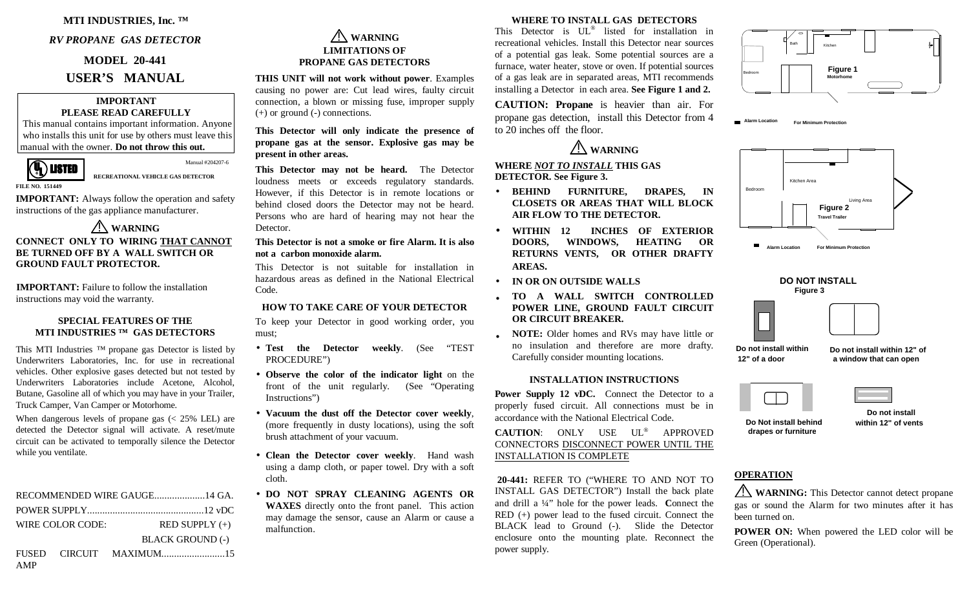## **MTI INDUSTRIES, Inc. ™**

#### *RV PROPANE GAS DETECTOR*

#### **MODEL 20-441**

# **USER'S MANUAL**

#### **IMPORTANT PLEASE READ CAREFULLY**

 This manual contains important information. Anyone who installs this unit for use by others must leave this manual with the owner. **Do not throw this out.**



**RECREATIONAL VEHICLE GAS DETECTOR** 

Manual #204207-6

**IMPORTANT:** Always follow the operation and safety instructions of the gas appliance manufacturer.

#### ! **WARNING CONNECT ONLY TO WIRING THAT CANNOTBE TURNED OFF BY A WALL SWITCH OR GROUND FAULT PROTECTOR.**

**IMPORTANT:** Failure to follow the installation instructions may void the warranty.

#### **SPECIAL FEATURES OF THEMTI INDUSTRIES ™ GAS DETECTORS**

This MTI Industries ™ propane gas Detector is listed by<br>Underwriters I aboratories. Inc. for use in recreational Underwriters Laboratories, Inc. for use in recreational vehicles. Other explosive gases detected but not tested by Underwriters Laboratories include Acetone, Alcohol, Butane, Gasoline all of which you may have in your Trailer, Truck Camper, Van Camper or Motorhome.

When dangerous levels of propane gas (< 25% LEL) are detected the Detector signal will activate. A reset/mute circuit can be activated to temporally silence the Detector while you ventilate.

| WIRE COLOR CODE: |  | $RED$ SUPPLY $(+)$      |  |
|------------------|--|-------------------------|--|
|                  |  | <b>BLACK GROUND (-)</b> |  |
|                  |  |                         |  |

#### ! **WARNING LIMITATIONS OF PROPANE GAS DETECTORS**

**THIS UNIT will not work without power**. Examples causing no power are: Cut lead wires, faulty circuit connection, a blown or missing fuse, improper supply (+) or ground (-) connections.

### **This Detector will only indicate the presence of propane gas at the sensor. Explosive gas may be present in other areas.**

**This Detector may not be heard.** The Detector loudness meets or exceeds regulatory standards. However, if this Detector is in remote locations or behind closed doors the Detector may not be heard. Persons who are hard of hearing may not hear the Detector.

# **This Detector is not a smoke or fire Alarm. It is alsonot a carbon monoxide alarm.**

This Detector is not suitable for installation in hazardous areas as defined in the National Electrical Code.

### **HOW TO TAKE CARE OF YOUR DETECTOR**

To keep your Detector in good working order, you must;

- **Test the Detector weekly**. (See "TEST PROCEDURE")
- **Observe the color of the indicator light** on the front of the unit regularly. (See "Operating Instructions")
- **Vacuum the dust off the Detector cover weekly**, (more frequently in dusty locations), using the soft brush attachment of your vacuum.
- **Clean the Detector cover weekly**. Hand wash using a damp cloth, or paper towel. Dry with a soft cloth.
- **DO NOT SPRAY CLEANING AGENTS OR WAXES** directly onto the front panel. This action may damage the sensor, cause an Alarm or cause a malfunction.

### **WHERE TO INSTALL GAS DETECTORS**

This Detector is UL<sup>®</sup> listed for installation in recreational vehicles. Install this Detector near sources of a potential gas leak. Some potential sources are a furnace, water heater, stove or oven. If potential sources of a gas leak are in separated areas, MTI recommends installing a Detector in each area. **See Figure 1 and 2.**

**CAUTION: Propane** is heavier than air. For propane gas detection, install this Detector from 4 to 20 inches off the floor.



# **WHERE** *NOT TO INSTALL* **THIS GAS DETECTOR. See Figure 3.**

- **BEHIND FURNITURE, DRAPES, IN CLOSETS OR AREAS THAT WILL BLOCK AIR FLOW TO THE DETECTOR.**
- WITHIN 12 **WITHIN 12 INCHES OF EXTERIOR WINDOWS. RETURNS VENTS, OR OTHER DRAFTY AREAS.**
- **IN OR ON OUTSIDE WALLS**
- • **TO A WALL SWITCH CONTROLLED POWER LINE, GROUND FAULT CIRCUIT OR CIRCUIT BREAKER.**
- • **NOTE:** Older homes and RVs may have little or no insulation and therefore are more drafty. Carefully consider mounting locations.

#### **INSTALLATION INSTRUCTIONS**

Power Supply 12 vDC. Connect the Detector to a properly fused circuit. All connections must be in accordance with the National Electrical Code.

**CAUTION**: ONLY USE UL® APPROVED CONNECTORS DISCONNECT POWER UNTIL THE INSTALLATION IS COMPLETE

 **20-441:** REFER TO ("WHERE TO AND NOT TO INSTALL GAS DETECTOR") Install the back plate and drill a ¼" hole for the power leads. **C**onnect the RED (+) power lead to the fused circuit. Connect the BLACK lead to Ground (-). Slide the Detector enclosure onto the mounting plate. Reconnect the power supply.



**Alarm LocationFor Minimum Protection**





**Do not install within 12" of a door**

**Do not install within 12" of a window that can open**

**Do Not install behinddrapes or furniture**

 **Do not installwithin 12" of vents**

# **OPERATION**

!**WARNING:** This Detector cannot detect propane gas or sound the Alarm for two minutes after it has been turned on.

**POWER ON:** When powered the LED color will be Green (Operational).